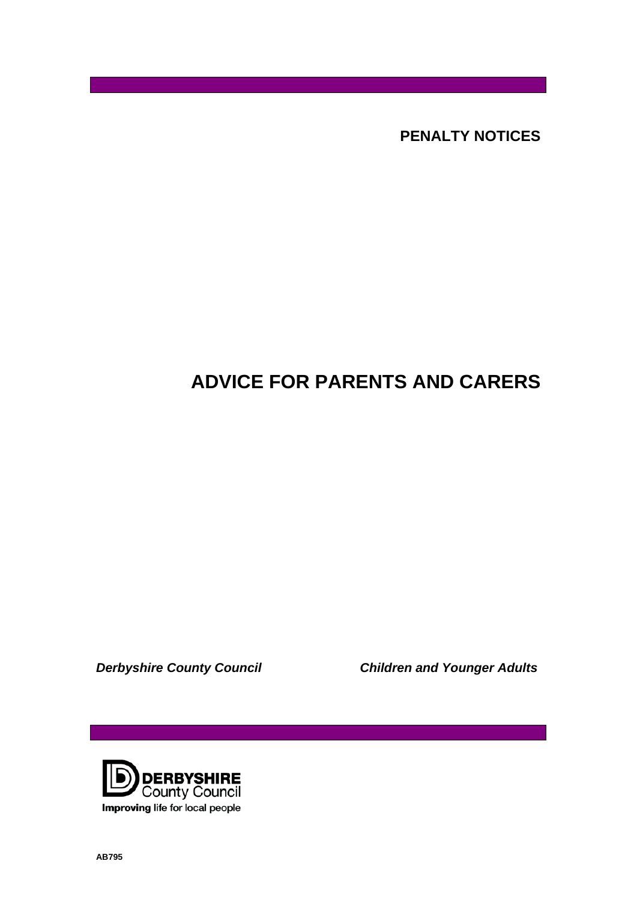**PENALTY NOTICES** 

# **ADVICE FOR PARENTS AND CARERS**

*Derbyshire County Council Children and Younger Adults* 

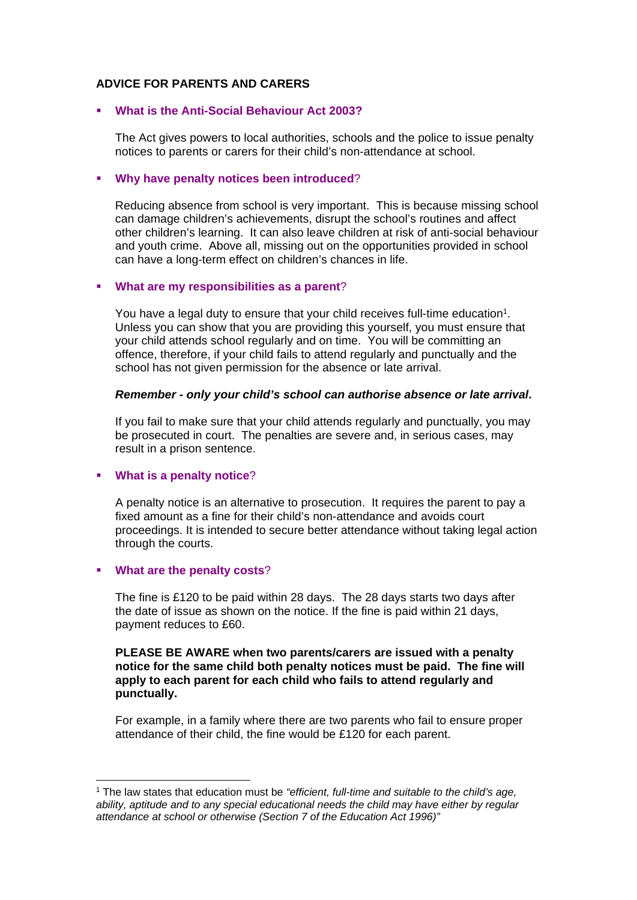## **ADVICE FOR PARENTS AND CARERS**

## **What is the Anti-Social Behaviour Act 2003?**

The Act gives powers to local authorities, schools and the police to issue penalty notices to parents or carers for their child's non-attendance at school.

## **Why have penalty notices been introduced**?

Reducing absence from school is very important. This is because missing school can damage children's achievements, disrupt the school's routines and affect other children's learning. It can also leave children at risk of anti-social behaviour and youth crime. Above all, missing out on the opportunities provided in school can have a long-term effect on children's chances in life.

## **What are my responsibilities as a parent**?

You have a legal duty to ensure that your child receives full-time education<sup>1</sup>. Unless you can show that you are providing this yourself, you must ensure that your child attends school regularly and on time. You will be committing an offence, therefore, if your child fails to attend regularly and punctually and the school has not given permission for the absence or late arrival.

## *Remember - only your child's school can authorise absence or late arrival***.**

If you fail to make sure that your child attends regularly and punctually, you may be prosecuted in court. The penalties are severe and, in serious cases, may result in a prison sentence.

# **What is a penalty notice**?

A penalty notice is an alternative to prosecution. It requires the parent to pay a fixed amount as a fine for their child's non-attendance and avoids court proceedings. It is intended to secure better attendance without taking legal action through the courts.

# **What are the penalty costs**?

The fine is £120 to be paid within 28 days. The 28 days starts two days after the date of issue as shown on the notice. If the fine is paid within 21 days, payment reduces to £60.

## **PLEASE BE AWARE when two parents/carers are issued with a penalty notice for the same child both penalty notices must be paid. The fine will apply to each parent for each child who fails to attend regularly and punctually.**

For example, in a family where there are two parents who fail to ensure proper attendance of their child, the fine would be £120 for each parent.

<sup>1</sup> The law states that education must be *"efficient, full-time and suitable to the child's age, ability, aptitude and to any special educational needs the child may have either by regular attendance at school or otherwise (Section 7 of the Education Act 1996)"*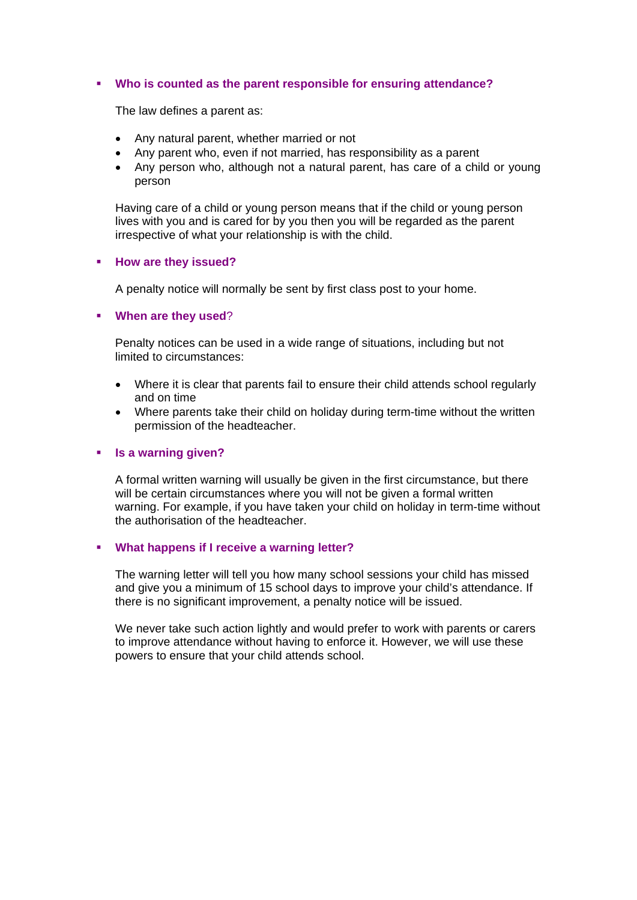## **Who is counted as the parent responsible for ensuring attendance?**

The law defines a parent as:

- Any natural parent, whether married or not
- Any parent who, even if not married, has responsibility as a parent
- Any person who, although not a natural parent, has care of a child or young person

Having care of a child or young person means that if the child or young person lives with you and is cared for by you then you will be regarded as the parent irrespective of what your relationship is with the child.

#### **How are they issued?**

A penalty notice will normally be sent by first class post to your home.

## **When are they used**?

Penalty notices can be used in a wide range of situations, including but not limited to circumstances:

- Where it is clear that parents fail to ensure their child attends school regularly and on time
- Where parents take their child on holiday during term-time without the written permission of the headteacher.

## **Is a warning given?**

A formal written warning will usually be given in the first circumstance, but there will be certain circumstances where you will not be given a formal written warning. For example, if you have taken your child on holiday in term-time without the authorisation of the headteacher.

## **What happens if I receive a warning letter?**

The warning letter will tell you how many school sessions your child has missed and give you a minimum of 15 school days to improve your child's attendance. If there is no significant improvement, a penalty notice will be issued.

We never take such action lightly and would prefer to work with parents or carers to improve attendance without having to enforce it. However, we will use these powers to ensure that your child attends school.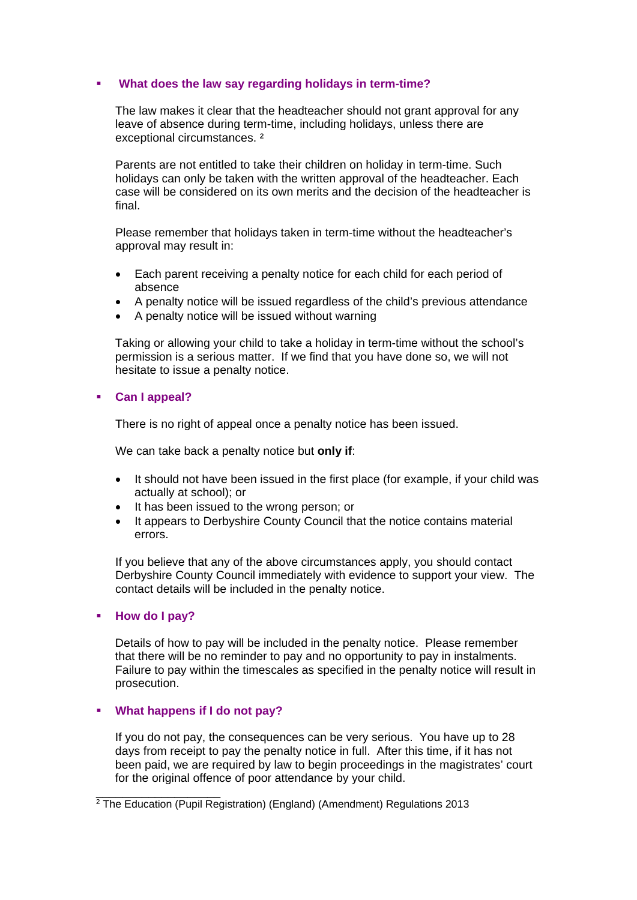## **What does the law say regarding holidays in term-time?**

The law makes it clear that the headteacher should not grant approval for any leave of absence during term-time, including holidays, unless there are exceptional circumstances. ²

Parents are not entitled to take their children on holiday in term-time. Such holidays can only be taken with the written approval of the headteacher. Each case will be considered on its own merits and the decision of the headteacher is final.

Please remember that holidays taken in term-time without the headteacher's approval may result in:

- Each parent receiving a penalty notice for each child for each period of absence
- A penalty notice will be issued regardless of the child's previous attendance
- A penalty notice will be issued without warning

Taking or allowing your child to take a holiday in term-time without the school's permission is a serious matter. If we find that you have done so, we will not hesitate to issue a penalty notice.

## **Can I appeal?**

There is no right of appeal once a penalty notice has been issued.

We can take back a penalty notice but **only if**:

- It should not have been issued in the first place (for example, if your child was actually at school); or
- It has been issued to the wrong person; or
- It appears to Derbyshire County Council that the notice contains material errors.

If you believe that any of the above circumstances apply, you should contact Derbyshire County Council immediately with evidence to support your view. The contact details will be included in the penalty notice.

# **How do I pay?**

Details of how to pay will be included in the penalty notice. Please remember that there will be no reminder to pay and no opportunity to pay in instalments. Failure to pay within the timescales as specified in the penalty notice will result in prosecution.

# **What happens if I do not pay?**

\_\_\_\_\_\_\_\_\_\_\_\_\_\_\_\_\_\_\_

If you do not pay, the consequences can be very serious. You have up to 28 days from receipt to pay the penalty notice in full. After this time, if it has not been paid, we are required by law to begin proceedings in the magistrates' court for the original offence of poor attendance by your child.

 $2$  The Education (Pupil Registration) (England) (Amendment) Regulations 2013